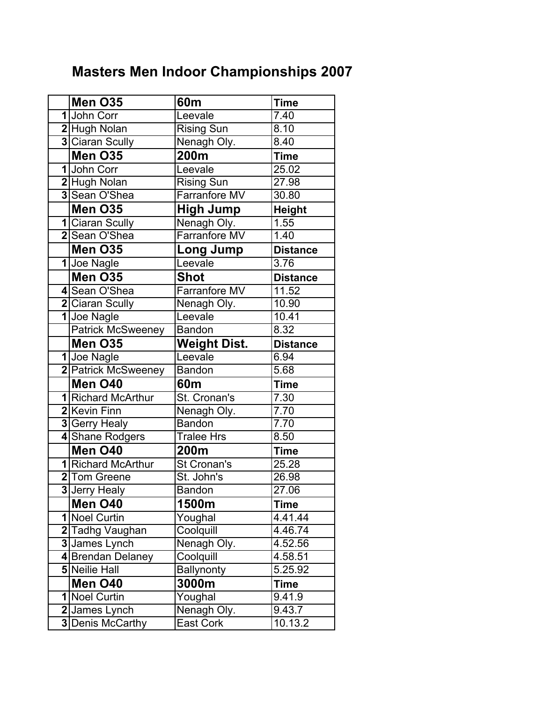## Masters Men Indoor Championships 2007

| Men O35                  | 60m                  | <b>Time</b>       |
|--------------------------|----------------------|-------------------|
| 1John Corr               | Leevale              | $\overline{7}.40$ |
| 2 Hugh Nolan             | <b>Rising Sun</b>    | 8.10              |
| 3 Ciaran Scully          | Nenagh Oly.          | 8.40              |
| Men O35                  | 200m                 | <b>Time</b>       |
| 1 John Corr              | Leevale              | 25.02             |
| 2 Hugh Nolan             | <b>Rising Sun</b>    | 27.98             |
| 3 Sean O'Shea            | Farranfore MV        | 30.80             |
| Men O35                  | <b>High Jump</b>     | <b>Height</b>     |
| 1 Ciaran Scully          | Nenagh Oly.          | 1.55              |
| 2 Sean O'Shea            | <b>Farranfore MV</b> | 1.40              |
| Men O35                  | <b>Long Jump</b>     | <b>Distance</b>   |
| 1 Joe Nagle              | Leevale              | 3.76              |
| Men O35                  | <b>Shot</b>          | <b>Distance</b>   |
| 4 Sean O'Shea            | <b>Farranfore MV</b> | 11.52             |
| 2 Ciaran Scully          | Nenagh Oly.          | 10.90             |
| 1 Joe Nagle              | Leevale              | 10.41             |
| <b>Patrick McSweeney</b> | <b>Bandon</b>        | 8.32              |
| Men O35                  | <b>Weight Dist.</b>  | <b>Distance</b>   |
| 1Joe Nagle               | Leevale              | 6.94              |
| 2 Patrick McSweeney      | <b>Bandon</b>        | 5.68              |
| Men O40                  | 60 <sub>m</sub>      | <b>Time</b>       |
| 1 Richard McArthur       | St. Cronan's         | 7.30              |
| 2 Kevin Finn             | Nenagh Oly.          | 7.70              |
| 3 Gerry Healy            | <b>Bandon</b>        | 7.70              |
| 4 Shane Rodgers          | Tralee Hrs           | 8.50              |
| Men O40                  | 200m                 | <b>Time</b>       |
| 1 Richard McArthur       | St Cronan's          | 25.28             |
| 2 Tom Greene             | St. John's           | 26.98             |
| 3 Jerry Healy            | Bandon               | 27.06             |
| Men O40                  | 1500m                | <b>Time</b>       |
| 1 Noel Curtin            | Youghal              | 4.41.44           |
| 2 Tadhg Vaughan          | Coolquill            | 4.46.74           |
| 3 James Lynch            | Nenagh Oly.          | 4.52.56           |
| 4 Brendan Delaney        | Coolquill            | 4.58.51           |
| 5 Neilie Hall            | <b>Ballynonty</b>    | 5.25.92           |
| Men O40                  | 3000m                | Time              |
| 1 Noel Curtin            | Youghal              | 9.41.9            |
| 2 James Lynch            | Nenagh Oly.          | 9.43.7            |
| 3 Denis McCarthy         | East Cork            | 10.13.2           |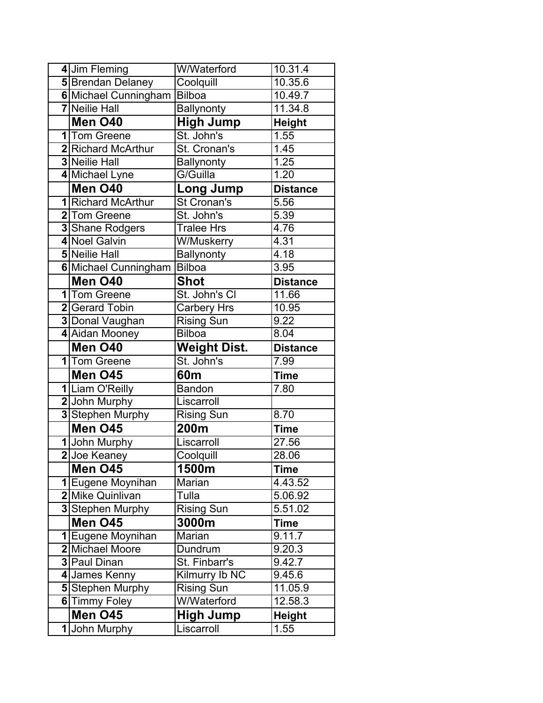|    | 4 Jim Fleming            | W/Waterford                             | 10.31.4               |
|----|--------------------------|-----------------------------------------|-----------------------|
|    | <b>5</b> Brendan Delaney | Coolquill                               | 10.35.6               |
|    | 6 Michael Cunningham     | <b>Bilboa</b>                           | 10.49.7               |
|    | <b>7</b> Neilie Hall     | <b>Ballynonty</b>                       | 11.34.8               |
|    | Men O40                  | <b>High Jump</b>                        | <b>Height</b>         |
|    | 1 Tom Greene             | St. John's                              | 1.55                  |
|    | 2 Richard McArthur       | St. Cronan's                            | 1.45                  |
|    | <b>3 Neilie Hall</b>     | <b>Ballynonty</b>                       | 1.25                  |
|    | 4 Michael Lyne           | G/Guilla                                | 1.20                  |
|    | Men O40                  | <b>Long Jump</b>                        | <b>Distance</b>       |
|    | 1 Richard McArthur       | St Cronan's                             | 5.56                  |
|    | 2 Tom Greene             | St. John's                              | 5.39                  |
|    | 3 Shane Rodgers          | <b>Tralee Hrs</b>                       | 4.76                  |
|    | 4 Noel Galvin            | W/Muskerry                              | 4.31                  |
|    | <b>5</b> Neilie Hall     | <b>Ballynonty</b>                       | 4.18                  |
|    | 6 Michael Cunningham     | <b>Bilboa</b>                           | 3.95                  |
|    | Men O40                  | <b>Shot</b>                             | <b>Distance</b>       |
|    | 1 Tom Greene             | St. John's Cl                           | 11.66                 |
|    | 2 Gerard Tobin           | <b>Carbery Hrs</b>                      | 10.95                 |
|    | 3 Donal Vaughan          | <b>Rising Sun</b>                       | 9.22                  |
|    | 4 Aidan Mooney           | <b>Bilboa</b>                           | 8.04                  |
|    | Men O40                  | <b>Weight Dist.</b>                     | <b>Distance</b>       |
|    | 1 Tom Greene             | St. John's                              | 7.99                  |
|    | Men O45                  | 60m                                     | <b>Time</b>           |
|    | 1 Liam O'Reilly          | <b>Bandon</b>                           | 7.80                  |
|    | 2 John Murphy            | Liscarroll                              |                       |
|    | 3 Stephen Murphy         | <b>Rising Sun</b>                       | 8.70                  |
|    | Men O45                  | 200m                                    | <b>Time</b>           |
|    | 1 John Murphy            | Liscarroll                              | 27.56                 |
|    | 2 Joe Keaney             | Coolquill                               | 28.06                 |
|    | <b>Men O45</b>           | 1500m                                   | Time                  |
|    | 1 Eugene Moynihan        | Marian                                  | 4.43.52               |
|    | 2 Mike Quinlivan         | Tulla                                   | 5.06.92               |
|    | 3 Stephen Murphy         | <b>Rising Sun</b>                       | $\overline{5.51}.02$  |
|    | Men O45                  | 3000m                                   | <b>Time</b>           |
|    | 1 Eugene Moynihan        | Marian                                  | 9.11.7                |
|    | 2 Michael Moore          | Dundrum                                 | 9.20.3                |
|    | <b>3</b> Paul Dinan      | St. Finbarr's                           | 9.42.7                |
|    | 4 James Kenny            | Kilmurry Ib NC                          | 9.45.6                |
|    | 5 Stephen Murphy         | <b>Rising Sun</b><br><b>W/Waterford</b> | 11.05.9               |
|    |                          |                                         | $\overline{12.58.3}$  |
|    | 6 Timmy Foley            |                                         |                       |
| 11 | Men O45<br>John Murphy   | High Jump<br>Liscarroll                 | <b>Height</b><br>1.55 |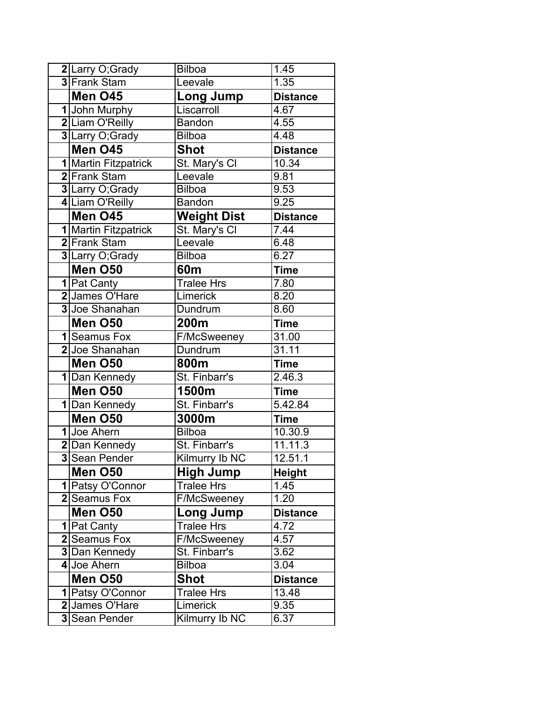| 2Larry O, Grady      | <b>Bilboa</b>      | 1.45                  |
|----------------------|--------------------|-----------------------|
| 3 Frank Stam         | Leevale            | 1.35                  |
| Men O45              | <b>Long Jump</b>   | <b>Distance</b>       |
| 1 John Murphy        | Liscarroll         | 4.67                  |
| 2 Liam O'Reilly      | <b>Bandon</b>      | 4.55                  |
| 3 Larry O, Grady     | <b>Bilboa</b>      | 4.48                  |
| Men O45              | <b>Shot</b>        | <b>Distance</b>       |
| 1 Martin Fitzpatrick | St. Mary's Cl      | 10.34                 |
| 2 Frank Stam         | Leevale            | 9.81                  |
| 3 Larry O, Grady     | <b>Bilboa</b>      | 9.53                  |
| 4 Liam O'Reilly      | <b>Bandon</b>      | 9.25                  |
| Men O45              | <b>Weight Dist</b> | <b>Distance</b>       |
| 1 Martin Fitzpatrick | St. Mary's Cl      | 7.44                  |
| 2 Frank Stam         | Leevale            | 6.48                  |
| 3 Larry O, Grady     | <b>Bilboa</b>      | 6.27                  |
| Men O50              | 60m                | <b>Time</b>           |
| 1   Pat Canty        | <b>Tralee Hrs</b>  | 7.80                  |
| 2 James O'Hare       | Limerick           | 8.20                  |
| 3 Joe Shanahan       | Dundrum            | 8.60                  |
| Men O50              | 200m               | Time                  |
| 1 Seamus Fox         | F/McSweeney        | 31.00                 |
| 2Joe Shanahan        | Dundrum            | 31.11                 |
| Men O50              | 800m               | <b>Time</b>           |
| 1 Dan Kennedy        | St. Finbarr's      | 2.46.3                |
| Men O50              | 1500m              | <b>Time</b>           |
| 1 Dan Kennedy        | St. Finbarr's      | 5.42.84               |
| Men O50              | 3000m              | Time                  |
| 1 Joe Ahern          | <b>Bilboa</b>      | 10.30.9               |
| 2 Dan Kennedy        | St. Finbarr's      | 11.11.3               |
| 3 Sean Pender        | Kilmurry Ib NC     | $\overline{1}$ 2.51.1 |
| Men O50              | <b>High Jump</b>   | <b>Height</b>         |
| 1 Patsy O'Connor     | <b>Tralee Hrs</b>  | 1.45                  |
| 2 Seamus Fox         | <b>F/McSweeney</b> | 1.20                  |
| Men O50              | Long Jump          | <b>Distance</b>       |
| 1 Pat Canty          | <b>Tralee Hrs</b>  | 4.72                  |
| 2 Seamus Fox         | F/McSweeney        | 4.57                  |
| 3 Dan Kennedy        | St. Finbarr's      | 3.62                  |
| 4 Joe Ahern          | <b>Bilboa</b>      | 3.04                  |
| Men O50              | <b>Shot</b>        | <b>Distance</b>       |
| 1 Patsy O'Connor     | Tralee Hrs         | 13.48                 |
| 2 James O'Hare       | Limerick           | 9.35                  |
| 3 Sean Pender        | Kilmurry Ib NC     | 6.37                  |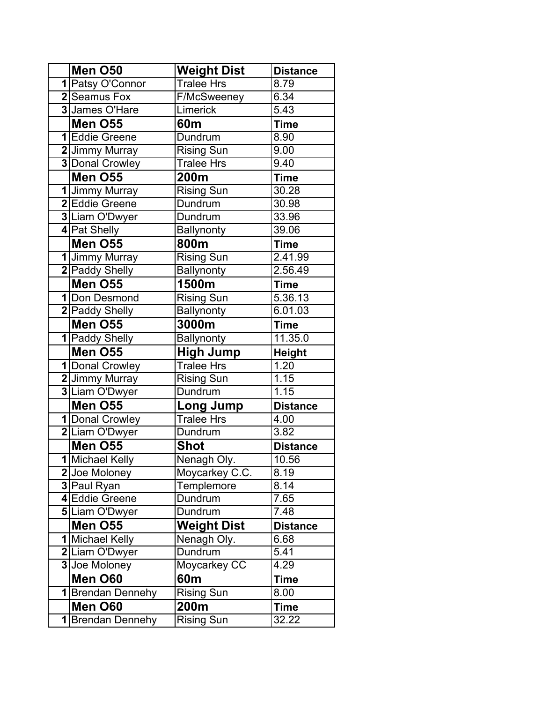| Men O50                      | <b>Weight Dist</b>        | <b>Distance</b>    |
|------------------------------|---------------------------|--------------------|
| 1 Patsy O'Connor             | <b>Tralee Hrs</b>         | $\overline{8}$ .79 |
| 2 Seamus Fox                 | <b>F/McSweeney</b>        | 6.34               |
| 3 James O'Hare               | Limerick                  | 5.43               |
| Men O55                      | 60 <sub>m</sub>           | <b>Time</b>        |
| 1 Eddie Greene               | Dundrum                   | 8.90               |
| 2 Jimmy Murray               | Rising Sun                | 9.00               |
| <b>3</b> Donal Crowley       | <b>Tralee Hrs</b>         | 9.40               |
| Men O55                      | 200m                      | Time               |
| 1 Jimmy Murray               | Rising Sun                | 30.28              |
| 2 Eddie Greene               | <b>Dundrum</b>            | 30.98              |
| 3 Liam O'Dwyer               | Dundrum                   | 33.96              |
| 4 Pat Shelly                 | <b>Ballynonty</b>         | 39.06              |
| Men O55                      | 800m                      | <b>Time</b>        |
| 1 Jimmy Murray               | <b>Rising Sun</b>         | 2.41.99            |
| 2 Paddy Shelly               | <b>Ballynonty</b>         | 2.56.49            |
| Men O55                      | 1500m                     | <b>Time</b>        |
| 1 Don Desmond                | <b>Rising Sun</b>         | 5.36.13            |
| 2 Paddy Shelly               | <b>Ballynonty</b>         | 6.01.03            |
| Men O55                      | 3000m                     | Time               |
| 1 Paddy Shelly               | <b>Ballynonty</b>         | 11.35.0            |
|                              |                           |                    |
| Men O55                      | <b>High Jump</b>          | <b>Height</b>      |
| 1 Donal Crowley              | <b>Tralee Hrs</b>         | 1.20               |
| 2 Jimmy Murray               | <b>Rising Sun</b>         | 1.15               |
| 3 Liam O'Dwyer               | Dundrum                   | 1.15               |
| Men O55                      | <b>Long Jump</b>          | <b>Distance</b>    |
| 1 Donal Crowley              | <b>Tralee Hrs</b>         | 4.00               |
| 2 Liam O'Dwyer               | Dundrum                   | 3.82               |
| Men O55                      | <b>Shot</b>               | <b>Distance</b>    |
| 1 Michael Kelly              | Nenagh Oly.               | 10.56              |
| 2 Joe Moloney                | Moycarkey C.C.            | 8.19               |
| 3 Paul Ryan                  | Templemore                | 8.14               |
| 4 Eddie Greene               | Dundrum                   | 7.65               |
| <b>5</b> Liam O'Dwyer        | Dundrum                   | 7.48               |
| Men O55                      | <b>Weight Dist</b>        | <b>Distance</b>    |
| 1 Michael Kelly              | Nenagh Oly.               | 6.68               |
| 2 Liam O'Dwyer               | Dundrum                   | 5.41               |
| 3 Joe Moloney                | Moycarkey CC              | 4.29               |
| Men O60                      | 60 <sub>m</sub>           | <b>Time</b>        |
| 1Brendan Dennehy             | <b>Rising Sun</b>         | 8.00               |
| Men O60<br>1 Brendan Dennehy | 200m<br><b>Rising Sun</b> | Time<br>32.22      |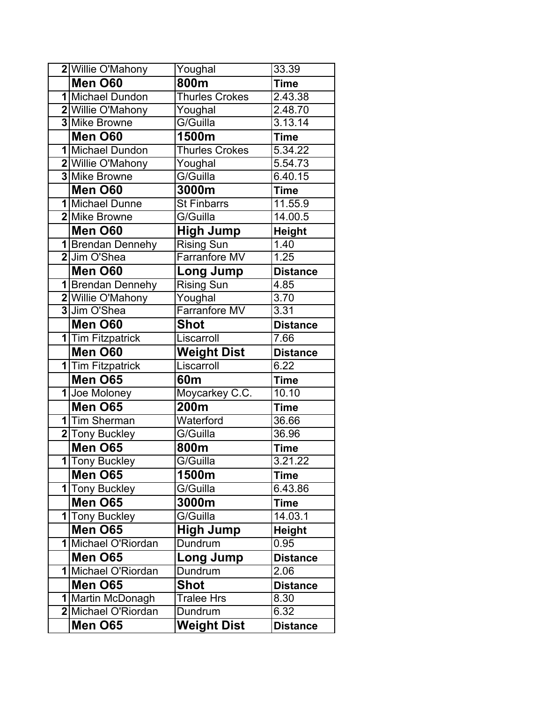| 2 Willie O'Mahony              | Youghal                       | 33.39           |
|--------------------------------|-------------------------------|-----------------|
| Men O60                        | 800m                          | <b>Time</b>     |
| 1 Michael Dundon               | <b>Thurles Crokes</b>         | 2.43.38         |
| 2 Willie O'Mahony              | Youghal                       | 2.48.70         |
| 3 Mike Browne                  | G/Guilla                      | 3.13.14         |
| Men O60                        | 1500m                         | <b>Time</b>     |
| 1 Michael Dundon               | <b>Thurles Crokes</b>         | 5.34.22         |
| 2 Willie O'Mahony              | Youghal                       | 5.54.73         |
| <b>3</b> Mike Browne           | G/Guilla                      | 6.40.15         |
| Men O60                        | 3000m                         | <b>Time</b>     |
| 1 Michael Dunne                | <b>St Finbarrs</b>            | 11.55.9         |
| 2 Mike Browne                  | G/Guilla                      | 14.00.5         |
| Men O60                        | <b>High Jump</b>              | <b>Height</b>   |
| 1 Brendan Dennehy              | Rising Sun                    | 1.40            |
| 2 Jim O'Shea                   | <b>Farranfore MV</b>          | 1.25            |
| Men O60                        | <b>Long Jump</b>              | <b>Distance</b> |
| 1 Brendan Dennehy              | <b>Rising Sun</b>             | 4.85            |
| 2 Willie O'Mahony              | Youghal                       | 3.70            |
| 3 Jim O'Shea                   | <b>Farranfore MV</b>          | 3.31            |
| Men O60                        | <b>Shot</b>                   | <b>Distance</b> |
| 1 Tim Fitzpatrick              | Liscarroll                    | 7.66            |
|                                |                               |                 |
| Men O60                        | <b>Weight Dist</b>            | <b>Distance</b> |
| 1 Tim Fitzpatrick              | Liscarroll                    | 6.22            |
| Men O65                        | 60m                           | <b>Time</b>     |
| 1 Joe Moloney                  | Moycarkey C.C.                | 10.10           |
| Men O65                        | 200m                          | <b>Time</b>     |
| 1 Tim Sherman                  | Waterford                     | 36.66           |
| 2 Tony Buckley                 | G/Guilla                      | 36.96           |
| Men O65                        | 800m                          | <b>Time</b>     |
| 1 Tony Buckley                 | G/Guilla                      | 3.21.22         |
| Men O65                        | 1500m                         | <b>Time</b>     |
| 1 Tony Buckley                 | G/Guilla                      | 6.43.86         |
| Men O65                        | 3000m                         | <b>Time</b>     |
| 1 Tony Buckley                 | G/Guilla                      | 14.03.1         |
| Men O65                        | <b>High Jump</b>              | <b>Height</b>   |
| 1 Michael O'Riordan            | Dundrum                       | 0.95            |
| Men O65                        | <b>Long Jump</b>              | <b>Distance</b> |
| 1 Michael O'Riordan            | Dundrum                       | 2.06            |
| <b>Men O65</b>                 | Shot                          | <b>Distance</b> |
| 1 Martin McDonagh              | <b>Tralee Hrs</b>             | 8.30            |
| 2 Michael O'Riordan<br>Men O65 | Dundrum<br><b>Weight Dist</b> | 6.32            |